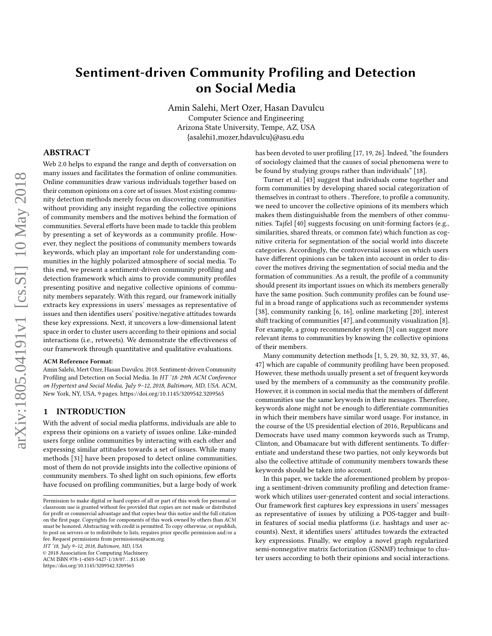# Sentiment-driven Community Profiling and Detection on Social Media

Amin Salehi, Mert Ozer, Hasan Davulcu Computer Science and Engineering Arizona State University, Tempe, AZ, USA {asalehi1,mozer,hdavulcu}@asu.edu

# ABSTRACT

Web 2.0 helps to expand the range and depth of conversation on many issues and facilitates the formation of online communities. Online communities draw various individuals together based on their common opinions on a core set of issues. Most existing community detection methods merely focus on discovering communities without providing any insight regarding the collective opinions of community members and the motives behind the formation of communities. Several efforts have been made to tackle this problem by presenting a set of keywords as a community profile. However, they neglect the positions of community members towards keywords, which play an important role for understanding communities in the highly polarized atmosphere of social media. To this end, we present a sentiment-driven community profiling and detection framework which aims to provide community profiles presenting positive and negative collective opinions of community members separately. With this regard, our framework initially extracts key expressions in users' messages as representative of issues and then identifies users' positive/negative attitudes towards these key expressions. Next, it uncovers a low-dimensional latent space in order to cluster users according to their opinions and social interactions (i.e., retweets). We demonstrate the effectiveness of our framework through quantitative and qualitative evaluations.

#### ACM Reference Format:

Amin Salehi, Mert Ozer, Hasan Davulcu. 2018. Sentiment-driven Community Profiling and Detection on Social Media. In HT '18: 29th ACM Conference on Hypertext and Social Media, July 9–12, 2018, Baltimore, MD, USA. ACM, New York, NY, USA, [9](#page-8-0) pages.<https://doi.org/10.1145/3209542.3209565>

# 1 INTRODUCTION

With the advent of social media platforms, individuals are able to express their opinions on a variety of issues online. Like-minded users forge online communities by interacting with each other and expressing similar attitudes towards a set of issues. While many methods [\[31\]](#page-8-1) have been proposed to detect online communities, most of them do not provide insights into the collective opinions of community members. To shed light on such opinions, few efforts have focused on profiling communities, but a large body of work

HT '18, July 9–12, 2018, Baltimore, MD, USA

© 2018 Association for Computing Machinery.

ACM ISBN 978-1-4503-5427-1/18/07...\$15.00

<https://doi.org/10.1145/3209542.3209565>

has been devoted to user profiling [\[17,](#page-8-2) [19,](#page-8-3) [26\]](#page-8-4). Indeed, "the founders of sociology claimed that the causes of social phenomena were to be found by studying groups rather than individuals" [\[18\]](#page-8-5).

Turner et al. [\[43\]](#page-8-6) suggest that individuals come together and form communities by developing shared social categorization of themselves in contrast to others . Therefore, to profile a community, we need to uncover the collective opinions of its members which makes them distinguishable from the members of other communities. Tajfel [\[40\]](#page-8-7) suggests focusing on unit-forming factors (e.g., similarities, shared threats, or common fate) which function as cognitive criteria for segmentation of the social world into discrete categories. Accordingly, the controversial issues on which users have different opinions can be taken into account in order to discover the motives driving the segmentation of social media and the formation of communities. As a result, the profile of a community should present its important issues on which its members generally have the same position. Such community profiles can be found useful in a broad range of applications such as recommender systems [\[38\]](#page-8-8), community ranking [\[6,](#page-8-9) [16\]](#page-8-10), online marketing [\[20\]](#page-8-11), interest shift tracking of communities [\[47\]](#page-8-12), and community visualization [\[8\]](#page-8-13). For example, a group recommender system [\[3\]](#page-8-14) can suggest more relevant items to communities by knowing the collective opinions of their members.

Many community detection methods [\[1,](#page-8-15) [5,](#page-8-16) [29,](#page-8-17) [30,](#page-8-18) [32,](#page-8-19) [33,](#page-8-20) [37,](#page-8-21) [46,](#page-8-22) [47\]](#page-8-12) which are capable of community profiling have been proposed. However, these methods usually present a set of frequent keywords used by the members of a community as the community profile. However, it is common in social media that the members of different communities use the same keywords in their messages. Therefore, keywords alone might not be enough to differentiate communities in which their members have similar word usage. For instance, in the course of the US presidential election of 2016, Republicans and Democrats have used many common keywords such as Trump, Clinton, and Obamacare but with different sentiments. To differentiate and understand these two parties, not only keywords but also the collective attitude of community members towards these keywords should be taken into account.

In this paper, we tackle the aforementioned problem by proposing a sentiment-driven community profiling and detection framework which utilizes user-generated content and social interactions. Our framework first captures key expressions in users' messages as representative of issues by utilizing a POS-tagger and builtin features of social media platforms (i.e. hashtags and user accounts). Next, it identifies users' attitudes towards the extracted key expressions. Finally, we employ a novel graph regularized semi-nonnegative matrix factorization (GSNMF) technique to cluster users according to both their opinions and social interactions.

Permission to make digital or hard copies of all or part of this work for personal or classroom use is granted without fee provided that copies are not made or distributed for profit or commercial advantage and that copies bear this notice and the full citation on the first page. Copyrights for components of this work owned by others than ACM must be honored. Abstracting with credit is permitted. To copy otherwise, or republish, to post on servers or to redistribute to lists, requires prior specific permission and/or a fee. Request permissions from permissions@acm.org.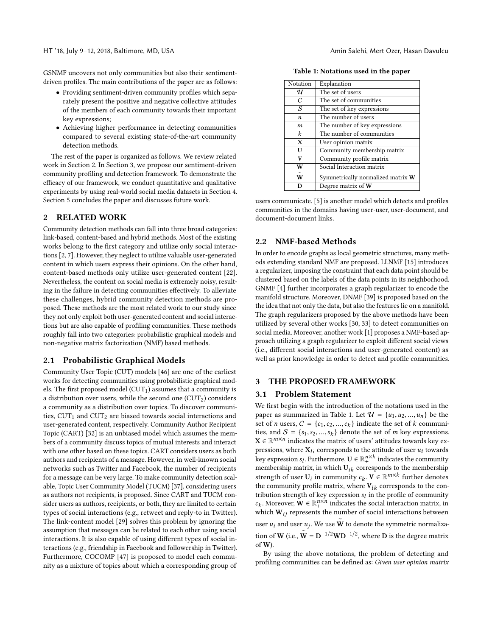HT '18, July 9–12, 2018, Baltimore, MD, USA Amin Salehi, Mert Ozer, Hasan Davulcu

GSNMF uncovers not only communities but also their sentimentdriven profiles. The main contributions of the paper are as follows:

- Providing sentiment-driven community profiles which separately present the positive and negative collective attitudes of the members of each community towards their important key expressions;
- Achieving higher performance in detecting communities compared to several existing state-of-the-art community detection methods.

The rest of the paper is organized as follows. We review related work in Section 2. In Section 3, we propose our sentiment-driven community profiling and detection framework. To demonstrate the efficacy of our framework, we conduct quantitative and qualitative experiments by using real-world social media datasets in Section 4. Section 5 concludes the paper and discusses future work.

## 2 RELATED WORK

Community detection methods can fall into three broad categories: link-based, content-based and hybrid methods. Most of the existing works belong to the first category and utilize only social interactions [\[2,](#page-8-23) [7\]](#page-8-24). However, they neglect to utilize valuable user-generated content in which users express their opinions. On the other hand, content-based methods only utilize user-generated content [\[22\]](#page-8-25). Nevertheless, the content on social media is extremely noisy, resulting in the failure in detecting communities effectively. To alleviate these challenges, hybrid community detection methods are proposed. These methods are the most related work to our study since they not only exploit both user-generated content and social interactions but are also capable of profiling communities. These methods roughly fall into two categories: probabilistic graphical models and non-negative matrix factorization (NMF) based methods.

## 2.1 Probabilistic Graphical Models

Community User Topic (CUT) models [\[46\]](#page-8-22) are one of the earliest works for detecting communities using probabilistic graphical models. The first proposed model  $(CUT_1)$  assumes that a community is a distribution over users, while the second one  $(CUT_2)$  considers a community as a distribution over topics. To discover communities,  $CUT_1$  and  $CUT_2$  are biased towards social interactions and user-generated content, respectively. Community Author Recipient Topic (CART) [\[32\]](#page-8-19) is an unbiased model which assumes the members of a community discuss topics of mutual interests and interact with one other based on these topics. CART considers users as both authors and recipients of a message. However, in well-known social networks such as Twitter and Facebook, the number of recipients for a message can be very large. To make community detection scalable, Topic User Community Model (TUCM) [\[37\]](#page-8-21), considering users as authors not recipients, is proposed. Since CART and TUCM consider users as authors, recipients, or both, they are limited to certain types of social interactions (e.g., retweet and reply-to in Twitter). The link-content model [\[29\]](#page-8-17) solves this problem by ignoring the assumption that messages can be related to each other using social interactions. It is also capable of using different types of social interactions (e.g., friendship in Facebook and followership in Twitter). Furthermore, COCOMP [\[47\]](#page-8-12) is proposed to model each community as a mixture of topics about which a corresponding group of

<span id="page-1-0"></span>

| Notation     | Explanation                       |
|--------------|-----------------------------------|
| U            | The set of users                  |
| C            | The set of communities            |
| S            | The set of key expressions        |
| n            | The number of users               |
| m            | The number of key expressions     |
| $\mathbf{k}$ | The number of communities         |
| X            | User opinion matrix               |
| U            | Community membership matrix       |
| v            | Community profile matrix          |
| W            | Social Interaction matrix         |
| W            | Symmetrically normalized matrix W |
| D            | Degree matrix of W                |

Table 1: Notations used in the paper

users communicate. [\[5\]](#page-8-16) is another model which detects and profiles communities in the domains having user-user, user-document, and document-document links.

## 2.2 NMF-based Methods

In order to encode graphs as local geometric structures, many methods extending standard NMF are proposed. LLNMF [\[15\]](#page-8-26) introduces a regularizer, imposing the constraint that each data point should be clustered based on the labels of the data points in its neighborhood. GNMF [\[4\]](#page-8-27) further incorporates a graph regularizer to encode the manifold structure. Moreover, DNMF [\[39\]](#page-8-28) is proposed based on the the idea that not only the data, but also the features lie on a manifold. The graph regularizers proposed by the above methods have been utilized by several other works [\[30,](#page-8-18) [33\]](#page-8-20) to detect communities on social media. Moreover, another work [\[1\]](#page-8-15) proposes a NMF-based approach utilizing a graph regularizer to exploit different social views (i.e., different social interactions and user-generated content) as well as prior knowledge in order to detect and profile communities.

### 3 THE PROPOSED FRAMEWORK

#### 3.1 Problem Statement

We first begin with the introduction of the notations used in the paper as summarized in Table [1.](#page-1-0) Let  $\mathcal{U} = \{u_1, u_2, ..., u_n\}$  be the set of *n* users,  $C = \{c_1, c_2, ..., c_k\}$  indicate the set of *k* communi-<br>ties and  $S = \{c_1, c_2, ..., c_k\}$  denote the set of *m* key expressions ties, and  $S = \{s_1, s_2, ..., s_k\}$  denote the set of m key expressions.<br>  $\mathbf{X} \in \mathbb{R}^{m \times n}$  indicates the matrix of users' attitudes towards key ex-X ∈  $\mathbb{R}^{m \times n}$  indicates the matrix of users' attitudes towards key expressions, where  $X_{li}$  corresponds to the attitude of user  $u_i$  towards key expression  $s_l$ . Furthermore,  $\mathbf{U} \in \mathbb{R}^{n \times k}_+$  indicates the community<br>membership matrix, in which  $\mathbf{U}_{\cdot k}$ , corresponds to the membership membership matrix, in which  $\mathbf{U}_{ik}$  corresponds to the membership strength of user  $U_i$  in community  $c_k$ .  $V \in \mathbb{R}^{m \times k}$  further denotes the community profile matrix where  $V_{ii}$  corresponds to the conthe community profile matrix, where  $V_{lk}$  corresponds to the contribution strength of key expression  $s_l$  in the profile of community<br>c. Moreover  $\mathbf{W} \in \mathbb{R}^{n \times n}$  indicates the social interaction matrix in which  $W_{ij}$  represents the number of social interactions between . Moreover,  $\mathbf{W} \in \mathbb{R}_+^{n \times n}$  indicates the social interaction matrix, in user  $u_i$  and user  $u_j$ . We use  $\widetilde{W}$  to denote the symmetric normalization of **W** (i.e.,  $\mathbf{\tilde{W}} = \mathbf{D}^{-1/2} \mathbf{W} \mathbf{D}^{-1/2}$ , where **D** is the degree matrix of W).

By using the above notations, the problem of detecting and profiling communities can be defined as: Given user opinion matrix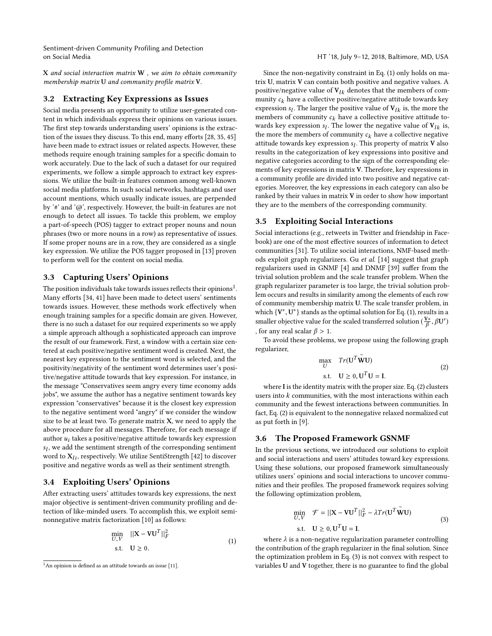$X$  and social interaction matrix  $W$ , we aim to obtain community membership matrix U and community profile matrix V.

## 3.2 Extracting Key Expressions as Issues

Social media presents an opportunity to utilize user-generated content in which individuals express their opinions on various issues. The first step towards understanding users' opinions is the extraction of the issues they discuss. To this end, many efforts [\[28,](#page-8-29) [35,](#page-8-30) [45\]](#page-8-31) have been made to extract issues or related aspects. However, these methods require enough training samples for a specific domain to work accurately. Due to the lack of such a dataset for our required experiments, we follow a simple approach to extract key expressions. We utilize the built-in features common among well-known social media platforms. In such social networks, hashtags and user account mentions, which usually indicate issues, are perpended by '#' and '@', respectively. However, the built-in features are not enough to detect all issues. To tackle this problem, we employ a part-of-speech (POS) tagger to extract proper nouns and noun phrases (two or more nouns in a row) as representative of issues. If some proper nouns are in a row, they are considered as a single key expression. We utilize the POS tagger proposed in [\[13\]](#page-8-32) proven to perform well for the content on social media.

# 3.3 Capturing Users' Opinions

The position individuals take towards issues reflects their opinions $^1.$  $^1.$  $^1.$ Many efforts [\[34,](#page-8-33) [41\]](#page-8-34) have been made to detect users' sentiments towards issues. However, these methods work effectively when enough training samples for a specific domain are given. However, there is no such a dataset for our required experiments so we apply a simple approach although a sophisticated approach can improve the result of our framework. First, a window with a certain size centered at each positive/negative sentiment word is created. Next, the nearest key expression to the sentiment word is selected, and the positivity/negativity of the sentiment word determines user's positive/negative attitude towards that key expression. For instance, in the message "Conservatives seem angry every time economy adds jobs", we assume the author has a negative sentiment towards key expression "conservatives" because it is the closest key expression to the negative sentiment word "angry" if we consider the window size to be at least two. To generate matrix  $X$ , we need to apply the above procedure for all messages. Therefore, for each message if author  $u_i$  takes a positive/negative attitude towards key expression word to  $X_{li}$ , respectively. We utilize SentiStrength [\[42\]](#page-8-35) to discover<br>positive and perative words as well as their sentiment strength  $s_l$ , we add the sentiment strength of the corresponding sentiment positive and negative words as well as their sentiment strength.

# 3.4 Exploiting Users' Opinions

After extracting users' attitudes towards key expressions, the next major objective is sentiment-driven community profiling and detection of like-minded users. To accomplish this, we exploit seminonnegative matrix factorization [\[10\]](#page-8-36) as follows:

<span id="page-2-1"></span>
$$
\min_{U,V} \quad ||\mathbf{X} - \mathbf{V}\mathbf{U}^T||_F^2
$$
\n
$$
\text{s.t.} \quad \mathbf{U} \ge 0. \tag{1}
$$

Since the non-negativity constraint in Eq. [\(1\)](#page-2-1) only holds on matrix U, matrix V can contain both positive and negative values. A positive/negative value of  $V_{lk}$  denotes that the members of community  $c_k$  have a collective positive/negative attitude towards key expression  $s_l$ . The larger the positive value of  $V_{lk}$  is, the more the members of community  $c_l$ , have a collective positive attitude to members of community  $c_k$  have a collective positive attitude towards key expression  $s_l$ . The lower the negative value of  $V_{lk}$  is, the more the members of community  $c_l$ , have a collective negative the more the members of community  $c_k$  have a collective negative attitude towards key expression  $s_l$ . This property of matrix **V** also results in the categorization of key expressions into positive and results in the categorization of key expressions into positive and negative categories according to the sign of the corresponding elements of key expressions in matrix V. Therefore, key expressions in a community profile are divided into two positive and negative categories. Moreover, the key expressions in each category can also be ranked by their values in matrix V in order to show how important they are to the members of the corresponding community.

# 3.5 Exploiting Social Interactions

Social interactions (e.g., retweets in Twitter and friendship in Facebook) are one of the most effective sources of information to detect communities [\[31\]](#page-8-1). To utilize social interactions, NMF-based methods exploit graph regularizers. Gu et al. [\[14\]](#page-8-38) suggest that graph regularizers used in GNMF [\[4\]](#page-8-27) and DNMF [\[39\]](#page-8-28) suffer from the trivial solution problem and the scale transfer problem. When the graph regularizer parameter is too large, the trivial solution problem occurs and results in similarity among the elements of each row of community membership matrix U. The scale transfer problem, in which  ${V^*, U^*}$  stands as the optimal solution for Eq. [\(1\)](#page-2-1), results in a<br>smaller objective value for the scaled transformed solution  $(V^*, \mathcal{B}U')$ smaller objective value for the scaled transferred solution  $(\frac{V^*}{\beta}, \beta U')$ β , for any real scalar  $\beta > 1$ .

To avoid these problems, we propose using the following graph regularizer,

<span id="page-2-2"></span>
$$
\max_{U} Tr(U^T \widetilde{W} U)
$$
  
s.t.  $U \ge 0$ ,  $U^T U = I$ . (2)

 $\rm s.t. \quad U \geq 0, U^T U = I.$  where I is the identity matrix with the proper size. Eq. [\(2\)](#page-2-2) clusters users into  $k$  communities, with the most interactions within each community and the fewest interactions between communities. In fact, Eq. [\(2\)](#page-2-2) is equivalent to the nonnegative relaxed normalized cut as put forth in [\[9\]](#page-8-39).

### 3.6 The Proposed Framework GSNMF

In the previous sections, we introduced our solutions to exploit and social interactions and users' attitudes toward key expressions. Using these solutions, our proposed framework simultaneously utilizes users' opinions and social interactions to uncover communities and their profiles. The proposed framework requires solving the following optimization problem,

<span id="page-2-3"></span>
$$
\min_{U,V} \mathcal{F} = ||\mathbf{X} - \mathbf{V}\mathbf{U}^T||_F^2 - \lambda Tr(\mathbf{U}^T \widetilde{\mathbf{W}} \mathbf{U})
$$
\n
$$
\text{s.t.} \quad \mathbf{U} \ge 0, \mathbf{U}^T \mathbf{U} = \mathbf{I}. \tag{3}
$$

where  $\lambda$  is a non-negative regularization parameter controlling<br>a contribution of the graph regularizer in the final solution. Since the contribution of the graph regularizer in the final solution. Since the optimization problem in Eq. [\(3\)](#page-2-3) is not convex with respect to variables U and V together, there is no guarantee to find the global

<span id="page-2-0"></span> $1$ An opinion is defined as an attitude towards an issue [\[11\]](#page-8-37).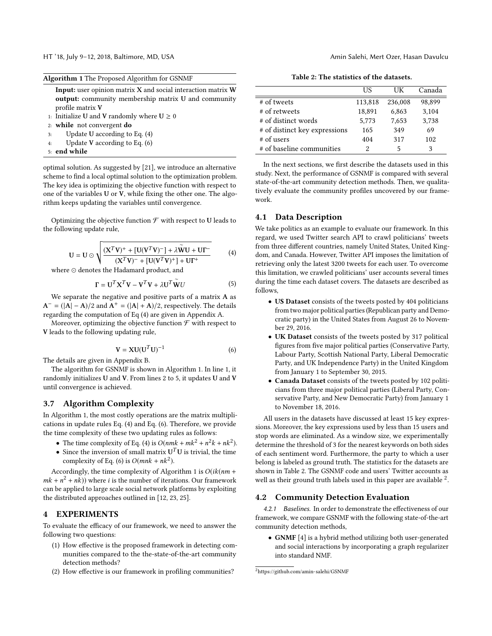HT '18, July 9–12, 2018, Baltimore, MD, USA Amin Salehi, Mert Ozer, Hasan Davulcu

<span id="page-3-2"></span>

|              | Algorithm 1 The Proposed Algorithm for GSNMF                                                                                      |  |  |  |  |  |  |  |
|--------------|-----------------------------------------------------------------------------------------------------------------------------------|--|--|--|--|--|--|--|
|              | <b>Input:</b> user opinion matrix X and social interaction matrix W<br><b>output:</b> community membership matrix U and community |  |  |  |  |  |  |  |
|              | profile matrix V                                                                                                                  |  |  |  |  |  |  |  |
|              | 1: Initialize U and V randomly where $U \ge 0$                                                                                    |  |  |  |  |  |  |  |
|              | 2: while not convergent $do$                                                                                                      |  |  |  |  |  |  |  |
| 3:           | Update U according to Eq. $(4)$                                                                                                   |  |  |  |  |  |  |  |
| 4:           | Update V according to Eq. $(6)$                                                                                                   |  |  |  |  |  |  |  |
| 5: end while |                                                                                                                                   |  |  |  |  |  |  |  |

optimal solution. As suggested by [\[21\]](#page-8-40), we introduce an alternative scheme to find a local optimal solution to the optimization problem. The key idea is optimizing the objective function with respect to one of the variables U or V, while fixing the other one. The algorithm keeps updating the variables until convergence.

Optimizing the objective function  ${\mathcal F}$  with respect to U leads to the following update rule,

<span id="page-3-0"></span>
$$
U = U \odot \sqrt{\frac{(X^T V)^+ + [U(V^T V)^-] + \lambda \widetilde{W} U + U\Gamma^-}{(X^T V)^- + [U(V^T V)^+] + U\Gamma^+}}
$$
(4)

where ⊙ denotes the Hadamard product, and

$$
\Gamma = \mathbf{U}^T \mathbf{X}^T \mathbf{V} - \mathbf{V}^T \mathbf{V} + \lambda \mathbf{U}^T \widetilde{\mathbf{W}} U \tag{5}
$$

We separate the negative and positive parts of a matrix A as  $A^- = (|A|-A)/2$  and  $A^+ = (|A|+A)/2$ , respectively. The details regarding the computation of Eq [\(4\)](#page-3-0) are given in Appendix A.

Moreover, optimizing the objective function  $\mathcal F$  with respect to V leads to the following updating rule,

<span id="page-3-1"></span>
$$
\mathbf{V} = \mathbf{X} \mathbf{U} (\mathbf{U}^T \mathbf{U})^{-1} \tag{6}
$$

The details are given in Appendix B.

The algorithm for GSNMF is shown in Algorithm [1.](#page-3-2) In line 1, it randomly initializes U and V. From lines 2 to 5, it updates U and V until convergence is achieved.

# 3.7 Algorithm Complexity

In Algorithm [1,](#page-3-2) the most costly operations are the matrix multiplications in update rules Eq. [\(4\)](#page-3-0) and Eq. [\(6\)](#page-3-1). Therefore, we provide the time complexity of these two updating rules as follows:

- The time complexity of Eq. [\(4\)](#page-3-0) is  $O(nmk + mk^2 + n^2k + nk^2)$ .
- Since the inversion of small matrix  $U^T U$  is trivial, the time complexity of Eq. [\(6\)](#page-3-1) is  $O(mnk + nk^2)$ .

Accordingly, the time complexity of Algorithm [1](#page-3-2) is  $O(ik(nm +$  $mk + n^2 + nk$ ) where *i* is the number of iterations. Our framework<br>can be applied to large scale social network platforms by exploiting can be applied to large scale social network platforms by exploiting the distributed approaches outlined in [\[12,](#page-8-41) [23,](#page-8-42) [25\]](#page-8-43).

# 4 EXPERIMENTS

To evaluate the efficacy of our framework, we need to answer the following two questions:

- (1) How effective is the proposed framework in detecting communities compared to the the-state-of-the-art community detection methods?
- (2) How effective is our framework in profiling communities?

Table 2: The statistics of the datasets.

<span id="page-3-3"></span>

|                               | НS      | UК      | Canada |
|-------------------------------|---------|---------|--------|
| # of tweets                   | 113.818 | 236,008 | 98.899 |
| # of retweets                 | 18,891  | 6,863   | 3,104  |
| # of distinct words           | 5,773   | 7,653   | 3,738  |
| # of distinct key expressions | 165     | 349     | 69     |
| $#$ of users                  | 404     | 317     | 102    |
| # of baseline communities     | 2       | 5       | 3      |

In the next sections, we first describe the datasets used in this study. Next, the performance of GSNMF is compared with several state-of-the-art community detection methods. Then, we qualitatively evaluate the community profiles uncovered by our framework.

# 4.1 Data Description

We take politics as an example to evaluate our framework. In this regard, we used Twitter search API to crawl politicians' tweets from three different countries, namely United States, United Kingdom, and Canada. However, Twitter API imposes the limitation of retrieving only the latest 3200 tweets for each user. To overcome this limitation, we crawled politicians' user accounts several times during the time each dataset covers. The datasets are described as follows,

- US Dataset consists of the tweets posted by 404 politicians from two major political parties (Republican party and Democratic party) in the United States from August 26 to November 29, 2016.
- UK Dataset consists of the tweets posted by 317 political figures from five major political parties (Conservative Party, Labour Party, Scottish National Party, Liberal Democratic Party, and UK Independence Party) in the United Kingdom from January 1 to September 30, 2015.
- Canada Dataset consists of the tweets posted by 102 politicians from three major political parties (Liberal Party, Conservative Party, and New Democratic Party) from January 1 to November 18, 2016.

All users in the datasets have discussed at least 15 key expressions. Moreover, the key expressions used by less than 15 users and stop words are eliminated. As a window size, we experimentally determine the threshold of 3 for the nearest keywords on both sides of each sentiment word. Furthermore, the party to which a user belong is labeled as ground truth. The statistics for the datasets are shown in Table [2.](#page-3-3) The GSNMF code and users' Twitter accounts as well as their ground truth labels used in this paper are available  $2$ .

## 4.2 Community Detection Evaluation

4.2.1 Baselines. In order to demonstrate the effectiveness of our framework, we compare GSNMF with the following state-of-the-art community detection methods,

• GNMF [\[4\]](#page-8-27) is a hybrid method utilizing both user-generated and social interactions by incorporating a graph regularizer into standard NMF.

<span id="page-3-4"></span> $^{2}$ <https://github.com/amin-salehi/GSNMF>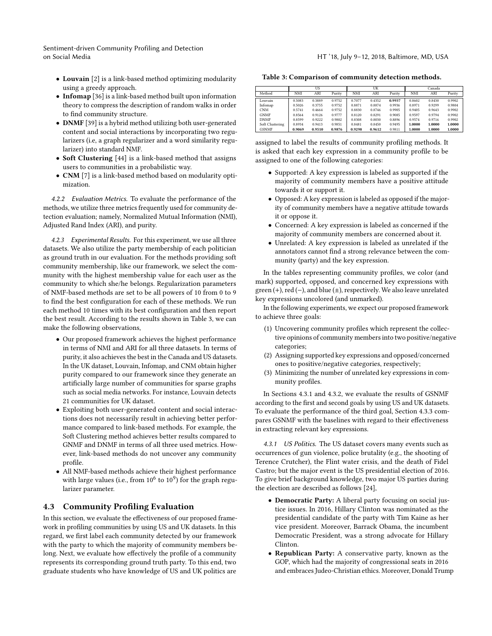- Louvain [\[2\]](#page-8-23) is a link-based method optimizing modularity using a greedy approach.
- Infomap [\[36\]](#page-8-44) is a link-based method built upon information theory to compress the description of random walks in order to find community structure.
- DNMF [\[39\]](#page-8-28) is a hybrid method utilizing both user-generated content and social interactions by incorporating two regularizers (i.e, a graph regularizer and a word similarity regularizer) into standard NMF.
- Soft Clustering [\[44\]](#page-8-45) is a link-based method that assigns users to communities in a probabilistic way.
- CNM [\[7\]](#page-8-24) is a link-based method based on modularity optimization.

4.2.2 Evaluation Metrics. To evaluate the performance of the methods, we utilize three metrics frequently used for community detection evaluation; namely, Normalized Mutual Information (NMI), Adjusted Rand Index (ARI), and purity.

4.2.3 Experimental Results. For this experiment, we use all three datasets. We also utilize the party membership of each politician as ground truth in our evaluation. For the methods providing soft community membership, like our framework, we select the community with the highest membership value for each user as the community to which she/he belongs. Regularization parameters of NMF-based methods are set to be all powers of 10 from 0 to 9 to find the best configuration for each of these methods. We run each method 10 times with its best configuration and then report the best result. According to the results shown in Table [3,](#page-4-0) we can make the following observations,

- Our proposed framework achieves the highest performance in terms of NMI and ARI for all three datasets. In terms of purity, it also achieves the best in the Canada and US datasets. In the UK dataset, Louvain, Infomap, and CNM obtain higher purity compared to our framework since they generate an artificially large number of communities for sparse graphs such as social media networks. For instance, Louvain detects 21 communities for UK dataset.
- Exploiting both user-generated content and social interactions does not necessarily result in achieving better performance compared to link-based methods. For example, the Soft Clustering method achieves better results compared to GNMF and DNMF in terms of all three used metrics. However, link-based methods do not uncover any community profile.
- All NMF-based methods achieve their highest performance with large values (i.e., from  $10^6$  to  $10^9$ ) for the graph regularizer parameter.

## 4.3 Community Profiling Evaluation

In this section, we evaluate the effectiveness of our proposed framework in profiling communities by using US and UK datasets. In this regard, we first label each community detected by our framework with the party to which the majority of community members belong. Next, we evaluate how effectively the profile of a community represents its corresponding ground truth party. To this end, two graduate students who have knowledge of US and UK politics are

<span id="page-4-0"></span>Table 3: Comparison of community detection methods.

|                 |        | US     |        |        | UK     |        | Canada |        |        |
|-----------------|--------|--------|--------|--------|--------|--------|--------|--------|--------|
| Method          | NMI    | ARI    | Purity | NMI    | ARI    | Purity | NMI    | ARI    | Purity |
| Louvain         | 0.5083 | 0.3889 | 0.9752 | 0.7077 | 0.4352 | 0.9937 | 0.8602 | 0.8430 | 0.9902 |
| Infomap         | 0.5026 | 0.3755 | 0.9752 | 0.8871 | 0.8874 | 0.9936 | 0.8971 | 0.9299 | 0.9804 |
| <b>CNM</b>      | 0.5741 | 0.4664 | 0.9752 | 0.8830 | 0.8746 | 0.9905 | 0.9405 | 0.9643 | 0.9902 |
| <b>GNMF</b>     | 0.8564 | 0.9126 | 0.9777 | 0.8120 | 0.8291 | 0.9085 | 0.9597 | 0.9794 | 0.9902 |
| <b>DNMF</b>     | 0.8599 | 0.9222 | 0.9802 | 0.8308 | 0.8030 | 0.8896 | 0.9574 | 0.9716 | 0.9902 |
| Soft Clustering | 0.8934 | 0.9413 | 0.9851 | 0.8481 | 0.8450 | 0.9495 | 1.0000 | 1.0000 | 1.0000 |
| <b>GSNMF</b>    | 0.9069 | 0.9510 | 0.9876 | 0.9298 | 0.9612 | 0.9811 | 1.0000 | 1.0000 | 1.0000 |

assigned to label the results of community profiling methods. It is asked that each key expression in a community profile to be assigned to one of the following categories:

- Supported: A key expression is labeled as supported if the majority of community members have a positive attitude towards it or support it.
- Opposed: A key expression is labeled as opposed if the majority of community members have a negative attitude towards it or oppose it.
- Concerned: A key expression is labeled as concerned if the majority of community members are concerned about it.
- Unrelated: A key expression is labeled as unrelated if the annotators cannot find a strong relevance between the community (party) and the key expression.

In the tables representing community profiles, we color (and mark) supported, opposed, and concerned key expressions with green (+), red (−), and blue (±), respectively. We also leave unrelated key expressions uncolored (and unmarked).

In the following experiments, we expect our proposed framework to achieve three goals:

- (1) Uncovering community profiles which represent the collective opinions of community members into two positive/negative categories;
- (2) Assigning supported key expressions and opposed/concerned ones to positive/negative categories, respectively;
- Minimizing the number of unrelated key expressions in community profiles.

In Sections [4.3.1](#page-4-1) and [4.3.2,](#page-5-0) we evaluate the results of GSNMF according to the first and second goals by using US and UK datasets. To evaluate the performance of the third goal, Section [4.3.3](#page-6-0) compares GSNMF with the baselines with regard to their effectiveness in extracting relevant key expressions.

<span id="page-4-1"></span>4.3.1 US Politics. The US dataset covers many events such as occurrences of gun violence, police brutality (e.g., the shooting of Terence Crutcher), the Flint water crisis, and the death of Fidel Castro; but the major event is the US presidential election of 2016. To give brief background knowledge, two major US parties during the election are described as follows [\[24\]](#page-8-46),

- Democratic Party: A liberal party focusing on social justice issues. In 2016, Hillary Clinton was nominated as the presidential candidate of the party with Tim Kaine as her vice president. Moreover, Barrack Obama, the incumbent Democratic President, was a strong advocate for Hillary Clinton.
- Republican Party: A conservative party, known as the GOP, which had the majority of congressional seats in 2016 and embraces Judeo-Christian ethics. Moreover, Donald Trump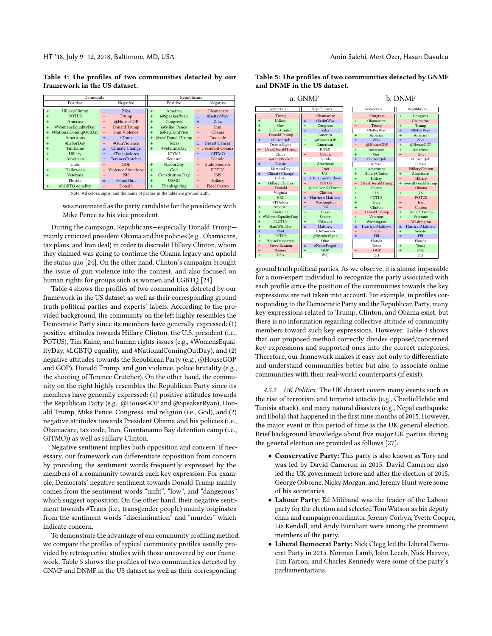HT '18, July 9–12, 2018, Baltimore, MD, USA Amin Salehi, Mert Ozer, Hasan Davulcu

<span id="page-5-1"></span>Table 4: The profiles of two communities detected by our framework in the US dataset.

| Democrats             |                               | Republicans             |                          |
|-----------------------|-------------------------------|-------------------------|--------------------------|
| Positive              | Negative                      | Positive                | Negative                 |
| HillaryClinton        | Zika                          | America                 | Obamacare                |
| $+$                   | $+$                           | $+$                     |                          |
| <b>POTUS</b>          | Trump                         | @SpeakerRyan            | #BetterWay               |
| $+$                   | -                             | $+$                     | $+$                      |
| America               | @HouseGOP                     | Congress                | Zika                     |
| $+$                   | -                             | $+$                     | $+$                      |
| #WomensEqualityDay    | Donald Trump                  | @Mike Pence             | <b>Iran</b>              |
| $+$                   | -                             | $+$                     |                          |
| #NationalComingOutDay | <b>Gun Violence</b>           | @RepTomPrice            | Obama                    |
| $+$                   | -                             | $+$                     | $\overline{\phantom{a}}$ |
| Americans             | #Trans                        | @realDonaldTrump        | Tax code                 |
| $+$                   | $\ddot{}$                     | $+$                     | -                        |
| #LaborDay             | #GunViolence                  | <b>Texas</b>            | <b>Breast Cancer</b>     |
| $+$                   | -                             | $+$                     | $+$                      |
| TimKaine              | <b>Climate Change</b>         | #VeteransDay            | President Obama          |
| $+$                   | $\pm$                         | $+$                     | $-$                      |
| Hillary               | #Trabajadores                 | <b>ICYMI</b>            | <b>GITMO</b>             |
| $+$                   | $\pm$                         |                         | $+$                      |
| American<br>$+$       | <b>TerenceCrutcher</b><br>$+$ | Senator                 | <b>Islamic</b>           |
| Cubs                  | GOP                           | #LaborDay<br>$+$        | <b>State Sponsor</b>     |
| Halloween<br>$+$      | <b>Violence Situations</b>    | God<br>$+$              | <b>POTUS</b>             |
| Veterans              | <b>ISIS</b>                   | <b>Constitution Day</b> | <b>ISIS</b>              |
| $+$                   | -                             | $+$                     | -                        |
| Florida               | #FundFlint                    | <b>USMC</b>             | Hillary                  |
|                       | $+$                           | $+$                     | -                        |
| #LGBTO equality       | Donald                        | Thanksgiving            | <b>Fidel Castro</b>      |
| $+$                   | -                             | $+$                     | -                        |

Note: All colors, signs, and the name of parties in the table are ground truth.

was nominated as the party candidate for the presidency with Mike Pence as his vice president.

During the campaign, Republicans—especially Donald Trump mainly criticized president Obama and his policies (e.g., Obamacare, tax plans, and Iran deal) in order to discredit Hillary Clinton, whom they claimed was going to continue the Obama legacy and uphold the status quo [\[24\]](#page-8-46). On the other hand, Clinton's campaign brought the issue of gun violence into the contest, and also focused on human rights for groups such as women and LGBTQ [\[24\]](#page-8-46).

Table [4](#page-5-1) shows the profiles of two communities detected by our framework in the US dataset as well as their corresponding ground truth political parties and experts' labels. According to the provided background, the community on the left highly resembles the Democratic Party since its members have generally expressed: (1) positive attitudes towards Hillary Clinton, the U.S. president (i.e., POTUS), Tim Kaine, and human rights issues (e.g., #WomensEqualityDay, #LGBTQ equality, and #NationalComingOutDay), and (2) negative attitudes towards the Republican Party (e.g., @HouseGOP and GOP), Donald Trump, and gun violence, police brutality (e.g., the shooting of Terence Crutcher). On the other hand, the community on the right highly resembles the Republican Party since its members have generally expressed: (1) positive attitudes towards the Republican Party (e.g., @HouseGOP and @SpeakerRyan), Donald Trump, Mike Pence, Congress, and religion (i.e., God), and (2) negative attitudes towards President Obama and his policies (i.e., Obamacare, tax code, Iran, Guantanamo Bay detention camp (i.e., GITMO)) as well as Hillary Clinton.

Negative sentiment implies both opposition and concern. If necessary, our framework can differentiate opposition from concern by providing the sentiment words frequently expressed by the members of a community towards each key expression. For example, Democrats' negative sentiment towards Donald Trump mainly comes from the sentiment words "unfit", "low", and "dangerous" which suggest opposition. On the other hand, their negative sentiment towards #Trans (i.e., transgender people) mainly originates from the sentiment words "discrimination" and "murder" which indicate concern.

To demonstrate the advantage of our community profiling method, we compare the profiles of typical community profiles usually provided by retrospective studies with those uncovered by our framework. Table [5](#page-5-2) shows the profiles of two communities detected by GNMF and DNMF in the US dataset as well as their corresponding

| a. GNMF                  |                        |                          |                  |  |                          |                  |                          | b. DNMF                |  |
|--------------------------|------------------------|--------------------------|------------------|--|--------------------------|------------------|--------------------------|------------------------|--|
|                          | Democrats              |                          | Republicans      |  | Democrats                |                  | Republicans              |                        |  |
|                          | Trump                  |                          | Obamacare        |  |                          | Congress         | $+$                      | Congress               |  |
| $\ddot{}$                | Hillary                | ±                        | #BetterWay       |  | $\ddot{}$                | Obamacare        | $\overline{\phantom{0}}$ | Obamacare              |  |
| $+$                      | Gov                    | $\ddot{}$                | Congress         |  |                          | Trump            | $+$                      | Trump                  |  |
| $\ddot{}$                | HillaryClinton         | $\ddot{}$                | <b>Zika</b>      |  |                          | #BetterWay       | $+$                      | #BetterWay             |  |
| $\overline{\phantom{0}}$ | Donald Trump           | $\ddot{}$                | America          |  | $\ddot{}$                | America          | $+$                      | America                |  |
| $+$                      | #DoYourJob             | $+$                      | @HouseGOP        |  | $\ddot{}$                | Zika             | $\ddot{}$                | Zika                   |  |
|                          | DebateNight            | $\ddot{}$                | American         |  | $\overline{\phantom{0}}$ | @HouseGOP        | $\ddot{}$                | @HouseGOP              |  |
| $\overline{\phantom{0}}$ | @realDonaldTrump       |                          | <b>ICYMI</b>     |  | $\ddot{}$                | American         | $+$                      | American               |  |
|                          | China                  | $\overline{\phantom{0}}$ | Obama            |  | $\ddot{}$                | Gov              |                          | Gov                    |  |
| $\overline{\phantom{0}}$ | @CoryBooker            |                          | Florida          |  | $\ddot{}$                | #DoYourJob       |                          | #DoYourJob             |  |
| $+$                      | Russia                 | $^{+}$                   | Americans        |  |                          | <b>ICYMI</b>     |                          | <b>ICYMI</b>           |  |
|                          | ElectionDay            |                          | <b>Iran</b>      |  | $\ddot{}$                | Americans        | -                        | HillaryClinton         |  |
| $+$                      | <b>Climate Change</b>  | $+$                      | U.S.             |  | $+$                      | HillaryClinton   | $+$                      | Americans              |  |
|                          | Debate                 | $\ddot{}$                | #HurricanMatthew |  | $\ddot{}$                | Hillary          |                          | Hillary                |  |
| $+$                      | <b>Hillary Clinton</b> |                          | <b>POTUS</b>     |  | $\overline{\phantom{0}}$ | @realDonaldTrump | $+$                      | @realDonaldTrump       |  |
| -                        | Donald                 | $^{+}$                   | @realDonaldTrump |  | $\ddot{}$                | Obama            |                          | Obama                  |  |
|                          | Virginia               |                          | Clinton          |  | $\ddot{}$                | U.S.             | $\ddot{}$                | U.S.                   |  |
| $+$                      | <b>HRC</b>             | $\ddot{}$                | Hurrican Matthew |  | $\ddot{}$                | <b>POTUS</b>     |                          | <b>POTUS</b>           |  |
|                          | VPDebate               | -                        | Washington       |  | $\ddot{}$                | <b>Iran</b>      |                          | <b>Iran</b>            |  |
| $+$                      | America                | ±                        | <b>FBI</b>       |  | $\ddot{}$                | Clinton          |                          | Clinton                |  |
| $\ddot{}$                | TimKaine               | $\ddot{}$                | <b>Texas</b>     |  | $\overline{\phantom{0}}$ | Donald Trump     | $+$                      | <b>Donald Trump</b>    |  |
| $^{+}$                   | #WomenEqualityDay      | $\ddot{}$                | Senate           |  | $\ddot{}$                | <b>Veterans</b>  | $\ddot{}$                | <b>Veterans</b>        |  |
| $+$                      | <b>FLOTUS</b>          | $\ddot{}$                | <b>Veterans</b>  |  | $\ddot{}$                | Washington       | $\overline{\phantom{0}}$ | Washington             |  |
| $+$                      | #IamWithHer            | $\pm$                    | Matthew          |  | $\ddot{}$                | HurricanMatthew  | $\ddot{}$                | <b>HurricanMatthew</b> |  |
| 士                        | Flint                  |                          | #DoYourIob       |  |                          | Senate           | $\ddot{}$                | Senate                 |  |
| $\ddot{}$                | <b>POTUS</b>           | $^{+}$                   | @SpeakerRyan     |  | $\ddot{}$                | <b>FBI</b>       | $+$                      | <b>FBI</b>             |  |
| $+$                      | <b>HouseDemocrats</b>  |                          | Ohio             |  |                          | Florida          |                          | Florida                |  |
|                          | <b>Steve Bannon</b>    | $\ddot{}$                | #NeverForget     |  |                          | Texas            | $+$                      | <b>Texas</b>           |  |
|                          | Bannon                 | $+$                      | GOP              |  |                          | <b>GOP</b>       | $+$                      | <b>GOP</b>             |  |
| $+$                      | <b>USA</b>             |                          | WSI              |  |                          | Oct              |                          | Oct                    |  |

<span id="page-5-2"></span>Table 5: The profiles of two communities detected by GNMF and DNMF in the US dataset.

ground truth political parties. As we observe, it is almost impossible for a non-expert individual to recognize the party associated with each profile since the position of the communities towards the key expressions are not taken into account. For example, in profiles corresponding to the Democratic Party and the Republican Party, many key expressions related to Trump, Clinton, and Obama exist, but there is no information regarding collective attitude of community members toward such key expressions. However, Table [4](#page-5-1) shows that our proposed method correctly divides opposed/concerned key expressions and supported ones into the correct categories. Therefore, our framework makes it easy not only to differentiate and understand communities better but also to associate online communities with their real-world counterparts (if exist).

<span id="page-5-0"></span>4.3.2 UK Politics. The UK dataset covers many events such as the rise of terrorism and terrorist attacks (e.g., CharlieHebdo and Tunisia attack), and many natural disasters (e.g., Nepal earthquake and Ebola) that happened in the first nine months of 2015. However, the major event in this period of time is the UK general election. Brief background knowledge about five major UK parties during the general election are provided as follows [\[27\]](#page-8-47),

- Conservative Party: This party is also known as Tory and was led by David Cameron in 2015. David Cameron also led the UK government before and after the election of 2015. George Osborne, Nicky Morgan, and Jeremy Hunt were some of his secretaries.
- Labour Party: Ed Miliband was the leader of the Labour party for the election and selected Tom Watson as his deputy chair and campaign coordinator. Jeremy Corbyn, Yvette Cooper, Liz Kendall, and Andy Burnham were among the prominent members of the party.
- Liberal Democrat Party: Nick Clegg led the Liberal Democrat Party in 2015. Norman Lamb, John Leech, Nick Harvey, Tim Farron, and Charles Kennedy were some of the party's parliamentarians.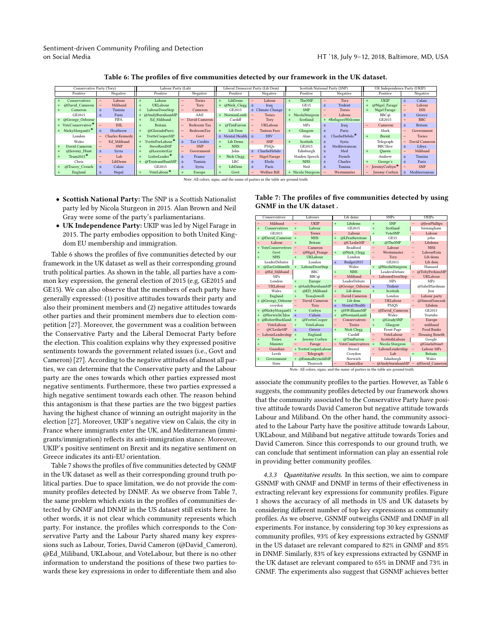<span id="page-6-1"></span>

| Conservative Party (Tory)<br>Labour Party (Lab) |                                                    |                         |                           | Liberal Democrat Party (Lib Dem) |                     |  |                   | Scottish National Party (SNP)    | UK Independence Party (UKIP)                          |                      |  |
|-------------------------------------------------|----------------------------------------------------|-------------------------|---------------------------|----------------------------------|---------------------|--|-------------------|----------------------------------|-------------------------------------------------------|----------------------|--|
| Positive                                        | Negative                                           | Positive                | Negative                  | Positive                         | Negative            |  | Positive          | Negative                         | Positive                                              | Negative             |  |
| Conservatives                                   | Labour                                             | Labour                  | <b>Tories</b><br>-        | LibDems                          | Labour              |  | TheSNP            | Tory                             | <b>UKIP</b>                                           | Calais<br>土          |  |
| @David Cameron                                  | Miliband<br>-                                      | UKLabour                | Tory                      | @Nick_Clegg $\pm$                | Iraq                |  | GE15              | Trident                          | @Nigel Farage'                                        | Labour               |  |
| Cameron                                         | Tunisia                                            | LabourDoorStep          | Cameron<br>-              | GE2015                           | Climate Change<br>土 |  | <b>SNP</b>        | <b>Tories</b>                    | Nigel Farage                                          | <b>ISIS</b>          |  |
| GE2015                                          | Paris                                              | @AndyBurnhamMP          | A&E                       | NormanLamb                       | <b>Tories</b>       |  | + NicolaSturgeon  | Labour                           | <b>BBCqt</b>                                          | Greece<br>士          |  |
| @George Osborne                                 | <b>FIFA</b>                                        | Ed Miliband             | David Cameron<br>-        | Cardiff                          | Tory                |  | Scotland          | + #RefugeesWelcome               | GE2015                                                | <b>BBC</b>           |  |
| + VoteConservative <sup>*</sup>                 | <b>ISIL</b><br>$\overline{\phantom{0}}$            | <b>Britain</b>          | Bedroom Tax<br>-          | @TimFarron<br>$\ddot{}$          | UKLabour            |  | <b>MPs</b>        | Iraq                             | Cameron                                               | <b>Britain</b><br>士  |  |
| + NickyMorgan01 $\star$                         | Heathrow<br>±.                                     | @GloriadePiero          | BedroomTax                | Lib Dem                          | <b>Tuition Fees</b> |  | Glasgow           | Paris                            | Mark                                                  | Government           |  |
| London                                          | <b>Charles Kennedy</b><br>$\overline{\phantom{0}}$ | YvetteCooperMP          | Govt<br>-                 | $\pm$ Mental Health $\pm$        | <b>HIV</b>          |  | Alan              | CharlieHebdo <sup>★</sup><br>$+$ | <b>Brexit</b>                                         | <b>Tories</b><br>$-$ |  |
| Wales                                           | Ed Miliband                                        | YvetteForLabour'        | <b>Tax Credits</b><br>$+$ | Lib Dems                         | <b>SNP</b>          |  | Scottish          | Svria                            | Telegraph                                             | David Cameron<br>-   |  |
| David Cameron                                   | <b>SNP</b>                                         | SteveReedMP             | <b>SNP</b>                | <b>NHS</b>                       | PMOs                |  | GE2015            | Mediterranean                    | <b>BBC5live</b>                                       | Libya                |  |
| @Jeremy Hunt                                    | Syria                                              | @LeicesterLiz           | Government                | John                             | CharlieHebdo        |  | Edinburgh         | Med                              | Oueen                                                 | Miliband             |  |
| Team2015 $\star$                                | Lab                                                | LizforLeader $^\star$   | France                    | Nick Clegg<br>$\ddot{}$          | Nigel Farage        |  | Maiden Speech     | French<br>$+$                    | Andrew                                                | Tunisia<br>士         |  |
| Chris                                           | LibDems                                            | @TristramHuntMP         | Tunisia<br>$+$            | LBC                              | Ebola               |  | <b>NHS</b>        | Charles                          | George's                                              | Paris                |  |
| @Tracey Crouch                                  | Calais<br>±.                                       | GE2015                  | Syria                     | LibDem<br>$\ddot{}$              | Paris               |  | Neil              | Tunisia                          | JeremyCorbyn <sup>★</sup><br>$\overline{\phantom{0}}$ | <b>SNP</b>           |  |
| England                                         | Nepal                                              | VoteLabour <sup>*</sup> | Europe                    | Govt                             | Welfare Bill        |  | + Nicola Sturgeon | Westminster                      | Jeremy Corbyn                                         | Mediterranean<br>土   |  |

Table 6: The profiles of five communities detected by our framework in the UK dataset.

Note: All colors, signs, and the name of parties in the table are ground truth.

- Scottish National Party: The SNP is a Scottish Nationalist party led by Nicola Sturgeon in 2015. Alan Brown and Neil Gray were some of the party's parliamentarians.
- UK Independence Party: UKIP was led by Nigel Farage in 2015. The party embodies opposition to both United Kingdom EU membership and immigration.

Table [6](#page-6-1) shows the profiles of five communities detected by our framework in the UK dataset as well as their corresponding ground truth political parties. As shown in the table, all parties have a common key expression, the general election of 2015 (e.g, GE2015 and GE15). We can also observe that the members of each party have generally expressed: (1) positive attitudes towards their party and also their prominent members and (2) negative attitudes towards other parties and their prominent members due to election competition [\[27\]](#page-8-47). Moreover, the government was a coalition between the Conservative Party and the Liberal Democrat Party before the election. This coalition explains why they expressed positive sentiments towards the government related issues (i.e., Govt and Cameron) [\[27\]](#page-8-47). According to the negative attitudes of almost all parties, we can determine that the Conservative party and the Labour party are the ones towards which other parties expressed most negative sentiments. Furthermore, these two parties expressed a high negative sentiment towards each other. The reason behind this antagonism is that these parties are the two biggest parties having the highest chance of winning an outright majority in the election [\[27\]](#page-8-47). Moreover, UKIP's negative view on Calais, the city in France where immigrants enter the UK, and Mediterranean (immigrants/immigration) reflects its anti-immigration stance. Moreover, UKIP's positive sentiment on Brexit and its negative sentiment on Greece indicates its anti-EU orientation.

Table [7](#page-6-2) shows the profiles of five communities detected by GNMF in the UK dataset as well as their corresponding ground truth political parties. Due to space limitation, we do not provide the community profiles detected by DNMF. As we observe from Table [7,](#page-6-2) the same problem which exists in the profiles of communities detected by GNMF and DNMF in the US dataset still exists here. In other words, it is not clear which community represents which party. For instance, the profiles which corresponds to the Conservative Party and the Labour Party shared many key expressions such as Labour, Tories, David Cameron (@David\_Cameron), @Ed\_Miliband, UKLabour, and VoteLabour, but there is no other information to understand the positions of these two parties towards these key expressions in order to differentiate them and also

|           | Conservatives                                                                   |                          | Labours              |                          | Lib dems                 |                          | <b>SNPs</b>        |                          | <b>UKIPs</b>           |  |
|-----------|---------------------------------------------------------------------------------|--------------------------|----------------------|--------------------------|--------------------------|--------------------------|--------------------|--------------------------|------------------------|--|
| $=$       | Miliband                                                                        | $\overline{a}$           | <b>UKIP</b>          | $+$                      | Libdems                  | $\ddot{}$                | <b>SNP</b>         | -                        | @JessPhillips          |  |
| $\ddot{}$ | Conservatives                                                                   | $\ddot{}$                | Labour               |                          | GE2015                   | $\ddot{}$                | Scotland           |                          | birmingham             |  |
|           | GE2015                                                                          | $\overline{a}$           | <b>Tories</b>        | $=$                      | Labour                   | $\ddot{}$                | VoteSNP            | -                        | Labour                 |  |
| $+$       | @David Cameron                                                                  | $+$                      | <b>NHS</b>           | $\ddot{}$                | @LFeatherstone           |                          | GE15               |                          | john                   |  |
| $=$       | Labour                                                                          | $\ddot{}$                | <b>Britain</b>       | -                        | @CLeslieMP               | $\ddot{}$                | @TheSNP            | $\overline{\phantom{0}}$ | Libdems                |  |
|           | <b>VoteConservetives</b>                                                        | $\overline{\phantom{0}}$ | Cameron              |                          | <b>Bradford</b>          | $\overline{a}$           | Labour             | -                        | <b>NHS</b>             |  |
| $\ddot{}$ | Govt                                                                            | $\overline{\phantom{0}}$ | @Nigel Frange        | $+$                      | @Nick Clegg              | $\overline{\phantom{0}}$ | Westminster        | -                        | LabourEoin             |  |
| $\ddot{}$ | <b>NHS</b>                                                                      | $\ddot{}$                | <b>UKLabour</b>      |                          | London                   | $\qquad \qquad -$        | Tory               | $\overline{\phantom{0}}$ | Lib dems               |  |
|           | LeaderDebates                                                                   |                          | London               | Ŧ                        | Budget2015               |                          | GE2015             | $\overline{a}$           | Lib dem                |  |
| $\ddot{}$ | @ZacGoldsmith                                                                   | $\ddot{}$                | LabourDoorStep       |                          | Wales                    | $\ddot{}$                | @NicolaSturgeon    |                          | Hansard                |  |
| -         | @Ed Miliband                                                                    |                          | BBC:                 | $+$                      | <b>NHS</b>               |                          | LeadersDebate      | -                        | @TobyPerkinsMP         |  |
|           | <b>MPs</b>                                                                      |                          | <b>BBCqt</b>         | $\overline{\phantom{0}}$ | Miliband                 | $\overline{\phantom{0}}$ | LaboursDoorStep    | -                        | <b>UKLabour</b>        |  |
|           | London                                                                          | $\ddot{}$                | Europe               |                          | LeaderDebate             |                          | MPs                |                          | MPs                    |  |
| -         | UKLabour                                                                        |                          | @AndyBurnhamMP       |                          | @George Osborne          | ±.                       | Trident            |                          | @SabelHardman          |  |
|           | Wales                                                                           | $\ddot{}$                | @ED Miliband         | $+$                      | Lib dems                 | $\ddot{}$                | Scottish           |                          | <b>Tess</b>            |  |
| $+$       | England                                                                         | $\ddot{}$                | <b>TessaIowell</b>   | $=$                      | David Cameron            |                          | London             | -                        | Labour party           |  |
|           | + @George Osborne                                                               | $\overline{\phantom{0}}$ | David Cameron        | $+$                      | Lib dem                  | $\equiv$                 | UKLabour           | $=$                      | @SimonDanczuk          |  |
|           | croydon                                                                         | -                        | Tory                 | $+$                      | Mental Health            |                          | PMOS               | -                        | Libdem                 |  |
| $+$       | @NickyMorgan01                                                                  | $\ddot{}$                | Corbyn               | $+$                      | @SWilliamsMP             | -                        | @David Cameron     |                          | GE2015                 |  |
| $\ddot{}$ | @NorwichChloe                                                                   | Ŧ                        | Calasis              | $\ddot{}$                | @NormanLamb              |                          | Wales              |                          | Youtube                |  |
| $+$       | @RobertBuckland                                                                 | $\ddot{}$                | @YvetteCooper        | $=$                      | Conservatives            | $\ddot{}$                | @GradvSNP          | $=$                      | Europe                 |  |
| -         | VoteLabour                                                                      | $\ddot{}$                | VoteLabour           | $=$                      | <b>Tories</b>            | $+$                      | Glasgow            | $\overline{\phantom{0}}$ | miliband               |  |
| ۰         | @CLeslieMP                                                                      | ±.                       | Greece               | $+$                      | Nick Clegg               |                          | <b>Front Page</b>  | $\overline{a}$           | <b>Food Banks</b>      |  |
| -         | LabourLeadership                                                                | $\ddot{}$                | England              |                          | Cardiff                  | $\overline{\phantom{a}}$ | VoteLabour         | $=$                      | <b>Housing Benefit</b> |  |
| $\ddot{}$ | <b>Tories</b>                                                                   | $\ddot{}$                | Jeremy Corbyn        | $\ddot{}$                | @TimFarron               | $\overline{a}$           | ScottishLabour     |                          | Google                 |  |
| $+$       | Minister                                                                        | -                        | Farage               |                          | <b>VoteConservatives</b> | $\ddot{}$                | Nicola Sturgeon    | $\overline{\phantom{0}}$ | @GiselaStuart          |  |
| -         | Guardian                                                                        |                          | + YvetteCooperLabour |                          | <b>Bristol</b>           | $\overline{a}$           | LabourLeadership   | $\equiv$                 | Labour MPs             |  |
|           | Leeds                                                                           | -                        | Telegraph            |                          | Croydon                  | -                        | Lab                | $\ddot{}$                | <b>Britain</b>         |  |
| $\ddot{}$ | Government                                                                      |                          | + @EmmaReynoldMP     |                          | Norwich                  |                          | Edinburgh          |                          | <b>Wales</b>           |  |
|           | State                                                                           |                          | Thurrock             |                          | Chancellor               |                          | $-$ @AndyburnhamMP | $\overline{\phantom{a}}$ | @David Cameron         |  |
|           | Note: All colors, signs, and the name of parties in the table are ground truth. |                          |                      |                          |                          |                          |                    |                          |                        |  |

<span id="page-6-2"></span>Table 7: The profiles of five communities detected by using GNMF in the UK dataset .

associate the community profiles to the parties. However, as Table [6](#page-6-1) suggests, the community profiles detected by our framework shows that the community associated to the Conservative Party have positive attitude towards David Cameron but negative attitude towards Labour and Miliband. On the other hand, the community associated to the Labour Party have the positive attitude towards Labour, UKLabour, and Miliband but negative attitude towards Tories and David Cameron. Since this corresponds to our ground truth, we can conclude that sentiment information can play an essential role in providing better community profiles.

<span id="page-6-0"></span>4.3.3 Quantitative results. In this section, we aim to compare GSNMF with GNMF and DNMF in terms of their effectiveness in extracting relevant key expressions for community profiles. Figure [1](#page-7-0) shows the accuracy of all methods in US and UK datasets by considering different number of top key expressions as community profiles. As we observe, GSNMF outweighs GNMF and DNMF in all experiments. For instance, by considering top 30 key expressions as community profiles, 93% of key expressions extracted by GSNMF in the US dataset are relevant compared to 82% in GNMF and 85% in DNMF. Similarly, 83% of key expressions extracted by GSNMF in the UK dataset are relevant compared to 65% in DNMF and 73% in GNMF. The experiments also suggest that GSNMF achieves better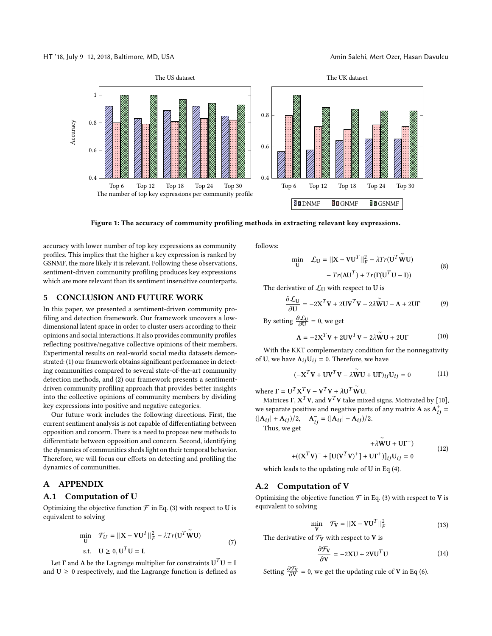<span id="page-7-0"></span>

Figure 1: The accuracy of community profiling methods in extracting relevant key expressions.

accuracy with lower number of top key expressions as community profiles. This implies that the higher a key expression is ranked by GSNMF, the more likely it is relevant. Following these observations, sentiment-driven community profiling produces key expressions which are more relevant than its sentiment insensitive counterparts.

## 5 CONCLUSION AND FUTURE WORK

In this paper, we presented a sentiment-driven community profiling and detection framework. Our framework uncovers a lowdimensional latent space in order to cluster users according to their opinions and social interactions. It also provides community profiles reflecting positive/negative collective opinions of their members. Experimental results on real-world social media datasets demonstrated: (1) our framework obtains significant performance in detecting communities compared to several state-of-the-art community detection methods, and (2) our framework presents a sentimentdriven community profiling approach that provides better insights into the collective opinions of community members by dividing key expressions into positive and negative categories.

Our future work includes the following directions. First, the current sentiment analysis is not capable of differentiating between opposition and concern. There is a need to propose new methods to differentiate between opposition and concern. Second, identifying the dynamics of communities sheds light on their temporal behavior. Therefore, we will focus our efforts on detecting and profiling the dynamics of communities.

# A APPENDIX

#### A.1 Computation of U

Optimizing the objective function  $\mathcal F$  in Eq. [\(3\)](#page-2-3) with respect to U is equivalent to solving

$$
\min_{\mathbf{U}} \quad \mathcal{F}_{U} = ||\mathbf{X} - \mathbf{V}\mathbf{U}^{T}||_{F}^{2} - \lambda Tr(\mathbf{U}^{T}\widetilde{\mathbf{W}}\mathbf{U})
$$
\n
$$
\text{s.t.} \quad \mathbf{U} \geq 0, \mathbf{U}^{T}\mathbf{U} = \mathbf{I}.
$$
\n
$$
(7)
$$

Let  $\Gamma$  and  $\Lambda$  be the Lagrange multiplier for constraints  $U^T U = I$ and  $U \geq 0$  respectively, and the Lagrange function is defined as follows:

$$
\begin{aligned}\n\min \quad & \mathcal{L}_{\mathbf{U}} = ||\mathbf{X} - \mathbf{V}\mathbf{U}^T||_F^2 - \lambda Tr(\mathbf{U}^T \widetilde{\mathbf{W}} \mathbf{U}) \\
&\quad - Tr(\mathbf{A}\mathbf{U}^T) + Tr(\mathbf{\Gamma}(\mathbf{U}^T \mathbf{U} - \mathbf{I}))\n\end{aligned} \tag{8}
$$

The derivative of  $\mathcal{L}_{U}$  with respect to U is

$$
\frac{\partial \mathcal{L}_{U}}{\partial U} = -2X^{T}V + 2UV^{T}V - 2\lambda \widetilde{W}U - \Lambda + 2UF
$$
 (9)

By setting  $\frac{\partial \mathcal{L}_{U}}{\partial U} = 0$ , we get

$$
\Lambda = -2X^T V + 2UV^T V - 2\lambda \widetilde{W}U + 2UF \qquad (10)
$$

With the KKT complementary condition for the nonnegativity of U, we have  $\Lambda_{ij}U_{ij} = 0$ . Therefore, we have

$$
(-\mathbf{X}^T \mathbf{V} + \mathbf{U} \mathbf{V}^T \mathbf{V} - \lambda \widetilde{\mathbf{W}} \mathbf{U} + \mathbf{U} \mathbf{\Gamma})_{ij} \mathbf{U}_{ij} = 0 \tag{11}
$$

where  $\Gamma = U^T X^T V - V^T V + \lambda U^T$ ∼ WU.

ιere  $\Gamma = U^I X^I V - V^I V + \lambda U^I W U$ .<br>Matrices Γ, X<sup>T</sup>V, and V<sup>T</sup>V take mixed signs. Motivated by [\[10\]](#page-8-36), we separate positive and negative parts of any matrix **A** as  $A_{ij}^+ = (|A_{11}| + |A_{22}|)/2$  $(|A_{ij}| + A_{ij})/2$ ,  $A_{ij}^- = (|A_{ij}| - A_{ij})/2$ .<br>Thus we get

Thus, we get

$$
+\lambda \widetilde{\mathbf{W}} \mathbf{U} + \mathbf{U} \boldsymbol{\Gamma}^-)
$$
  
+
$$
+ ((\mathbf{X}^T \mathbf{V})^- + [\mathbf{U} (\mathbf{V}^T \mathbf{V})^+] + \mathbf{U} \boldsymbol{\Gamma}^+)]_{ij} \mathbf{U}_{ij} = 0
$$
 (12)

which leads to the updating rule of U in Eq [\(4\)](#page-3-0).

## A.2 Computation of V

Optimizing the objective function  $\mathcal F$  in Eq. [\(3\)](#page-2-3) with respect to V is equivalent to solving

$$
\min_{\mathbf{V}} \quad \mathcal{F}_{\mathbf{V}} = ||\mathbf{X} - \mathbf{V}\mathbf{U}^T||_F^2 \tag{13}
$$

The derivative of  $\mathcal{F}_V$  with respect to V is

$$
\frac{\partial \mathcal{F}_V}{\partial V} = -2XU + 2VU^T U \tag{14}
$$

Setting  $\frac{\partial \mathcal{F}_V}{\partial V} = 0$ , we get the updating rule of **V** in Eq [\(6\)](#page-3-1).